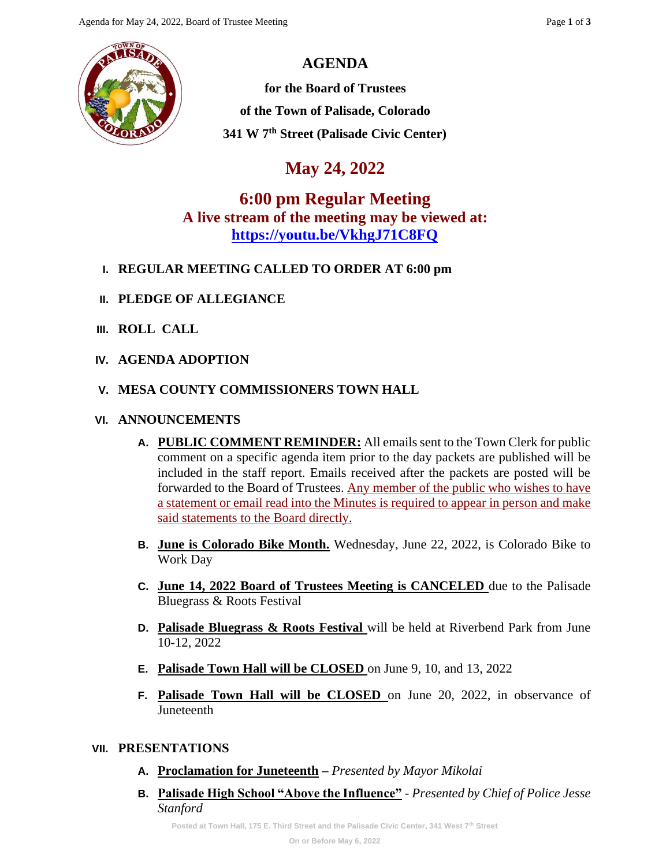## **AGENDA**

**for the Board of Trustees of the Town of Palisade, Colorado 341 W 7th Street (Palisade Civic Center)**

# **May 24, 2022**

**6:00 pm Regular Meeting A live stream of the meeting may be viewed at: <https://youtu.be/VkhgJ71C8FQ>**

- **I. REGULAR MEETING CALLED TO ORDER AT 6:00 pm**
- **II. PLEDGE OF ALLEGIANCE**
- **III. ROLL CALL**
- **IV. AGENDA ADOPTION**
- **V. MESA COUNTY COMMISSIONERS TOWN HALL**

## **VI. ANNOUNCEMENTS**

- **A. PUBLIC COMMENT REMINDER:** All emails sent to the Town Clerk for public comment on a specific agenda item prior to the day packets are published will be included in the staff report. Emails received after the packets are posted will be forwarded to the Board of Trustees. Any member of the public who wishes to have a statement or email read into the Minutes is required to appear in person and make said statements to the Board directly.
- **B. June is Colorado Bike Month.** Wednesday, June 22, 2022, is Colorado Bike to Work Day
- **C. June 14, 2022 Board of Trustees Meeting is CANCELED** due to the Palisade Bluegrass & Roots Festival
- **D. Palisade Bluegrass & Roots Festival** will be held at Riverbend Park from June 10-12, 2022
- **E. Palisade Town Hall will be CLOSED** on June 9, 10, and 13, 2022
- **F. Palisade Town Hall will be CLOSED** on June 20, 2022, in observance of Juneteenth

### **VII. PRESENTATIONS**

- **A. Proclamation for Juneteenth –** *Presented by Mayor Mikolai*
- **B. Palisade High School "Above the Influence"** *- Presented by Chief of Police Jesse Stanford*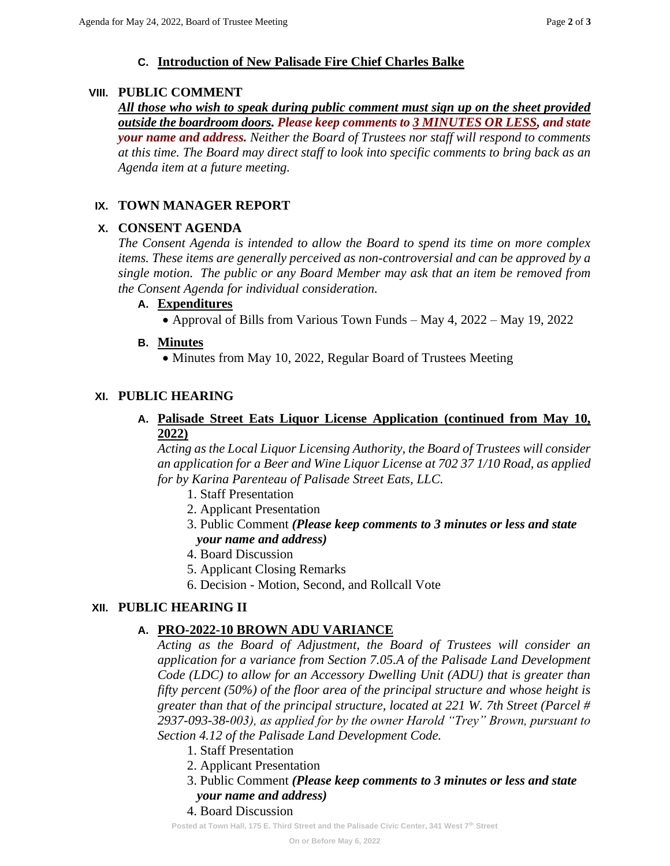## **C. Introduction of New Palisade Fire Chief Charles Balke**

#### **VIII. PUBLIC COMMENT**

*All those who wish to speak during public comment must sign up on the sheet provided outside the boardroom doors. Please keep comments to 3 MINUTES OR LESS, and state your name and address. Neither the Board of Trustees nor staff will respond to comments at this time. The Board may direct staff to look into specific comments to bring back as an Agenda item at a future meeting.*

## **IX. TOWN MANAGER REPORT**

### **X. CONSENT AGENDA**

*The Consent Agenda is intended to allow the Board to spend its time on more complex items. These items are generally perceived as non-controversial and can be approved by a single motion. The public or any Board Member may ask that an item be removed from the Consent Agenda for individual consideration.*

### **A. Expenditures**

• Approval of Bills from Various Town Funds – May 4, 2022 – May 19, 2022

### **B. Minutes**

• Minutes from May 10, 2022, Regular Board of Trustees Meeting

## **XI. PUBLIC HEARING**

#### **A. Palisade Street Eats Liquor License Application (continued from May 10, 2022)**

*Acting as the Local Liquor Licensing Authority, the Board of Trustees will consider an application for a Beer and Wine Liquor License at 702 37 1/10 Road, as applied for by Karina Parenteau of Palisade Street Eats, LLC.*

- 1. Staff Presentation
- 2. Applicant Presentation
- 3. Public Comment *(Please keep comments to 3 minutes or less and state your name and address)*
- 4. Board Discussion
- 5. Applicant Closing Remarks
- 6. Decision Motion, Second, and Rollcall Vote

## **XII. PUBLIC HEARING II**

## **A. PRO-2022-10 BROWN ADU VARIANCE**

*Acting as the Board of Adjustment, the Board of Trustees will consider an application for a variance from Section 7.05.A of the Palisade Land Development Code (LDC) to allow for an Accessory Dwelling Unit (ADU) that is greater than fifty percent (50%) of the floor area of the principal structure and whose height is greater than that of the principal structure, located at 221 W. 7th Street (Parcel # 2937-093-38-003), as applied for by the owner Harold "Trey" Brown, pursuant to Section 4.12 of the Palisade Land Development Code.*

- 1. Staff Presentation
- 2. Applicant Presentation
- 3. Public Comment *(Please keep comments to 3 minutes or less and state your name and address)*

### 4. Board Discussion